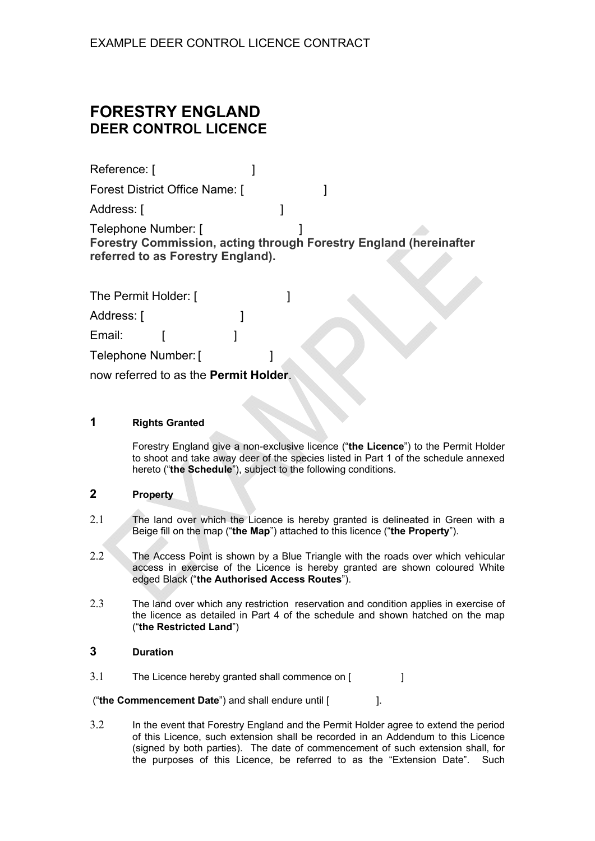# **FORESTRY ENGLAND DEER CONTROL LICENCE**

| Reference: [                                                                                                                  |  |  |  |
|-------------------------------------------------------------------------------------------------------------------------------|--|--|--|
| Forest District Office Name: [                                                                                                |  |  |  |
| Address: [                                                                                                                    |  |  |  |
| Telephone Number: [<br>Forestry Commission, acting through Forestry England (hereinafter<br>referred to as Forestry England). |  |  |  |

| The Permit Holder: [                          |  |  |
|-----------------------------------------------|--|--|
| Address: [                                    |  |  |
| Email:                                        |  |  |
| Telephone Number: [                           |  |  |
| now referred to as the <b>Permit Holder</b> . |  |  |

## **1 Rights Granted**

Forestry England give a non-exclusive licence ("**the Licence**") to the Permit Holder to shoot and take away deer of the species listed in Part 1 of the schedule annexed hereto ("**the Schedule**"), subject to the following conditions.

## **2 Property**

- 2.1 The land over which the Licence is hereby granted is delineated in Green with a Beige fill on the map ("**the Map**") attached to this licence ("**the Property**").
- 2.2 The Access Point is shown by a Blue Triangle with the roads over which vehicular access in exercise of the Licence is hereby granted are shown coloured White edged Black ("**the Authorised Access Routes**").
- 2.3 The land over which any restriction reservation and condition applies in exercise of the licence as detailed in Part 4 of the schedule and shown hatched on the map ("**the Restricted Land**")

## **3 Duration**

3.1 The Licence hereby granted shall commence on [ ]

("**the Commencement Date**") and shall endure until [ ].

3.2 In the event that Forestry England and the Permit Holder agree to extend the period of this Licence, such extension shall be recorded in an Addendum to this Licence (signed by both parties). The date of commencement of such extension shall, for the purposes of this Licence, be referred to as the "Extension Date". Such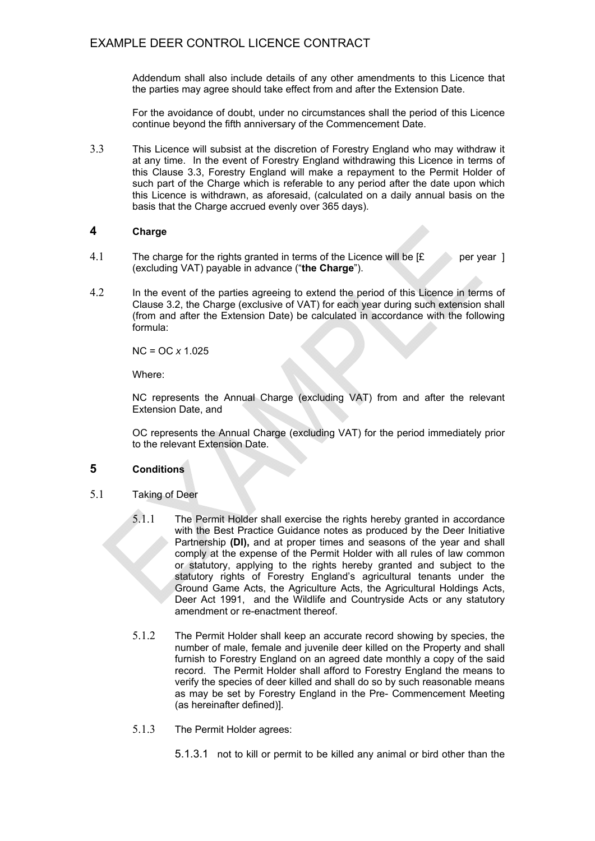Addendum shall also include details of any other amendments to this Licence that the parties may agree should take effect from and after the Extension Date.

For the avoidance of doubt, under no circumstances shall the period of this Licence continue beyond the fifth anniversary of the Commencement Date.

3.3 This Licence will subsist at the discretion of Forestry England who may withdraw it at any time. In the event of Forestry England withdrawing this Licence in terms of this Clause 3.3, Forestry England will make a repayment to the Permit Holder of such part of the Charge which is referable to any period after the date upon which this Licence is withdrawn, as aforesaid, (calculated on a daily annual basis on the basis that the Charge accrued evenly over 365 days).

#### **4 Charge**

- 4.1 The charge for the rights granted in terms of the Licence will be  $f$  per year ] (excluding VAT) payable in advance ("**the Charge**").
- 4.2 In the event of the parties agreeing to extend the period of this Licence in terms of Clause 3.2, the Charge (exclusive of VAT) for each year during such extension shall (from and after the Extension Date) be calculated in accordance with the following formula:

NC = OC *x* 1.025

Where:

NC represents the Annual Charge (excluding VAT) from and after the relevant Extension Date, and

OC represents the Annual Charge (excluding VAT) for the period immediately prior to the relevant Extension Date.

#### **5 Conditions**

- 5.1 Taking of Deer
	- 5.1.1 The Permit Holder shall exercise the rights hereby granted in accordance with the Best Practice Guidance notes as produced by the Deer Initiative Partnership **(DI),** and at proper times and seasons of the year and shall comply at the expense of the Permit Holder with all rules of law common or statutory, applying to the rights hereby granted and subject to the statutory rights of Forestry England's agricultural tenants under the Ground Game Acts, the Agriculture Acts, the Agricultural Holdings Acts, Deer Act 1991, and the Wildlife and Countryside Acts or any statutory amendment or re-enactment thereof.
	- 5.1.2 The Permit Holder shall keep an accurate record showing by species, the number of male, female and juvenile deer killed on the Property and shall furnish to Forestry England on an agreed date monthly a copy of the said record. The Permit Holder shall afford to Forestry England the means to verify the species of deer killed and shall do so by such reasonable means as may be set by Forestry England in the Pre- Commencement Meeting (as hereinafter defined)].
	- 5.1.3 The Permit Holder agrees:
		- 5.1.3.1 not to kill or permit to be killed any animal or bird other than the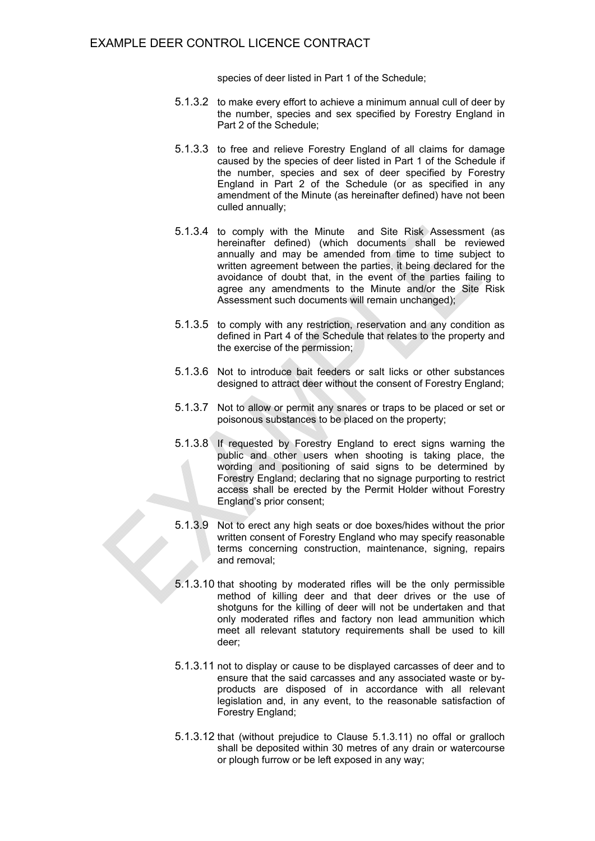species of deer listed in Part 1 of the Schedule;

- 5.1.3.2 to make every effort to achieve a minimum annual cull of deer by the number, species and sex specified by Forestry England in Part 2 of the Schedule;
- 5.1.3.3 to free and relieve Forestry England of all claims for damage caused by the species of deer listed in Part 1 of the Schedule if the number, species and sex of deer specified by Forestry England in Part 2 of the Schedule (or as specified in any amendment of the Minute (as hereinafter defined) have not been culled annually;
- 5.1.3.4 to comply with the Minute and Site Risk Assessment (as hereinafter defined) (which documents shall be reviewed annually and may be amended from time to time subject to written agreement between the parties, it being declared for the avoidance of doubt that, in the event of the parties failing to agree any amendments to the Minute and/or the Site Risk Assessment such documents will remain unchanged);
- 5.1.3.5 to comply with any restriction, reservation and any condition as defined in Part 4 of the Schedule that relates to the property and the exercise of the permission;
- 5.1.3.6 Not to introduce bait feeders or salt licks or other substances designed to attract deer without the consent of Forestry England;
- 5.1.3.7 Not to allow or permit any snares or traps to be placed or set or poisonous substances to be placed on the property;
- 5.1.3.8 If requested by Forestry England to erect signs warning the public and other users when shooting is taking place, the wording and positioning of said signs to be determined by Forestry England; declaring that no signage purporting to restrict access shall be erected by the Permit Holder without Forestry England's prior consent;
- 5.1.3.9 Not to erect any high seats or doe boxes/hides without the prior written consent of Forestry England who may specify reasonable terms concerning construction, maintenance, signing, repairs and removal;
- 5.1.3.10 that shooting by moderated rifles will be the only permissible method of killing deer and that deer drives or the use of shotguns for the killing of deer will not be undertaken and that only moderated rifles and factory non lead ammunition which meet all relevant statutory requirements shall be used to kill deer;
- 5.1.3.11 not to display or cause to be displayed carcasses of deer and to ensure that the said carcasses and any associated waste or byproducts are disposed of in accordance with all relevant legislation and, in any event, to the reasonable satisfaction of Forestry England;
- 5.1.3.12 that (without prejudice to Clause 5.1.3.11) no offal or gralloch shall be deposited within 30 metres of any drain or watercourse or plough furrow or be left exposed in any way;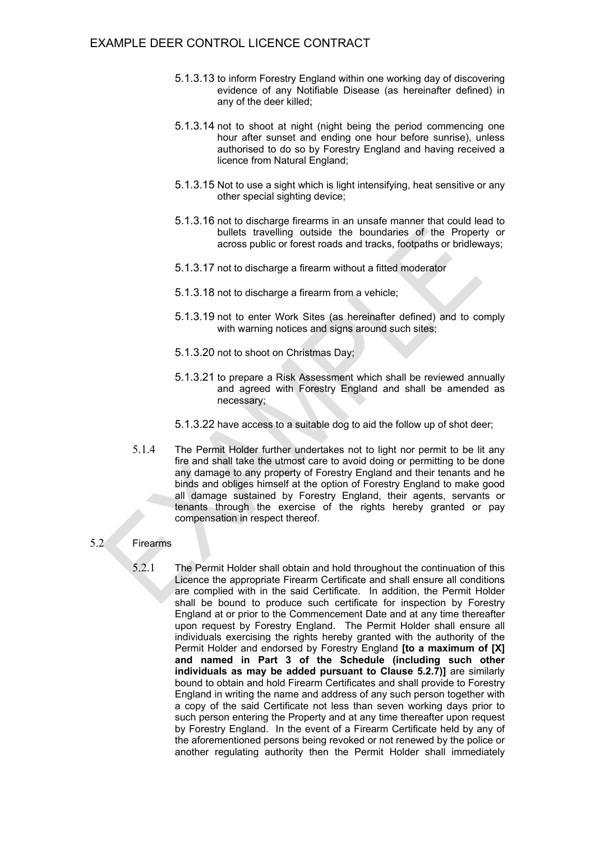- 5.1.3.13 to inform Forestry England within one working day of discovering evidence of any Notifiable Disease (as hereinafter defined) in any of the deer killed;
- 5.1.3.14 not to shoot at night (night being the period commencing one hour after sunset and ending one hour before sunrise), unless authorised to do so by Forestry England and having received a licence from Natural England;
- 5.1.3.15 Not to use a sight which is light intensifying, heat sensitive or any other special sighting device;
- 5.1.3.16 not to discharge firearms in an unsafe manner that could lead to bullets travelling outside the boundaries of the Property or across public or forest roads and tracks, footpaths or bridleways;
- 5.1.3.17 not to discharge a firearm without a fitted moderator
- 5.1.3.18 not to discharge a firearm from a vehicle;
- 5.1.3.19 not to enter Work Sites (as hereinafter defined) and to comply with warning notices and signs around such sites;
- 5.1.3.20 not to shoot on Christmas Day;
- 5.1.3.21 to prepare a Risk Assessment which shall be reviewed annually and agreed with Forestry England and shall be amended as necessary;
- 5.1.3.22 have access to a suitable dog to aid the follow up of shot deer;
- 5.1.4 The Permit Holder further undertakes not to light nor permit to be lit any fire and shall take the utmost care to avoid doing or permitting to be done any damage to any property of Forestry England and their tenants and he binds and obliges himself at the option of Forestry England to make good all damage sustained by Forestry England, their agents, servants or tenants through the exercise of the rights hereby granted or pay compensation in respect thereof.

#### 5.2 Firearms

5.2.1 The Permit Holder shall obtain and hold throughout the continuation of this Licence the appropriate Firearm Certificate and shall ensure all conditions are complied with in the said Certificate. In addition, the Permit Holder shall be bound to produce such certificate for inspection by Forestry England at or prior to the Commencement Date and at any time thereafter upon request by Forestry England. The Permit Holder shall ensure all individuals exercising the rights hereby granted with the authority of the Permit Holder and endorsed by Forestry England **[to a maximum of [X] and named in Part 3 of the Schedule (including such other individuals as may be added pursuant to Clause 5.2.7)]** are similarly bound to obtain and hold Firearm Certificates and shall provide to Forestry England in writing the name and address of any such person together with a copy of the said Certificate not less than seven working days prior to such person entering the Property and at any time thereafter upon request by Forestry England. In the event of a Firearm Certificate held by any of the aforementioned persons being revoked or not renewed by the police or another regulating authority then the Permit Holder shall immediately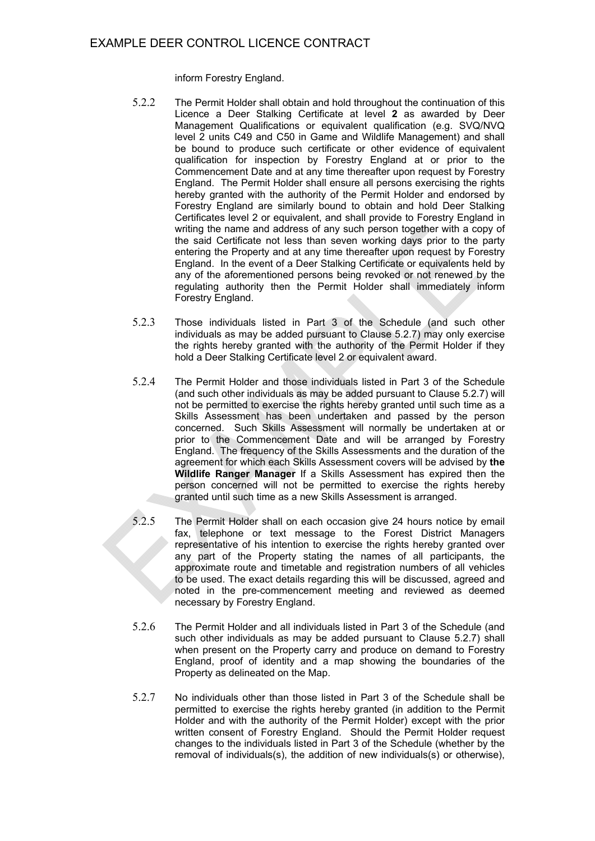inform Forestry England.

- 5.2.2 The Permit Holder shall obtain and hold throughout the continuation of this Licence a Deer Stalking Certificate at level **2** as awarded by Deer Management Qualifications or equivalent qualification (e.g. SVQ/NVQ level 2 units C49 and C50 in Game and Wildlife Management) and shall be bound to produce such certificate or other evidence of equivalent qualification for inspection by Forestry England at or prior to the Commencement Date and at any time thereafter upon request by Forestry England. The Permit Holder shall ensure all persons exercising the rights hereby granted with the authority of the Permit Holder and endorsed by Forestry England are similarly bound to obtain and hold Deer Stalking Certificates level 2 or equivalent, and shall provide to Forestry England in writing the name and address of any such person together with a copy of the said Certificate not less than seven working days prior to the party entering the Property and at any time thereafter upon request by Forestry England. In the event of a Deer Stalking Certificate or equivalents held by any of the aforementioned persons being revoked or not renewed by the regulating authority then the Permit Holder shall immediately inform Forestry England.
- 5.2.3 Those individuals listed in Part 3 of the Schedule (and such other individuals as may be added pursuant to Clause 5.2.7) may only exercise the rights hereby granted with the authority of the Permit Holder if they hold a Deer Stalking Certificate level 2 or equivalent award.
- 5.2.4 The Permit Holder and those individuals listed in Part 3 of the Schedule (and such other individuals as may be added pursuant to Clause 5.2.7) will not be permitted to exercise the rights hereby granted until such time as a Skills Assessment has been undertaken and passed by the person concerned. Such Skills Assessment will normally be undertaken at or prior to the Commencement Date and will be arranged by Forestry England. The frequency of the Skills Assessments and the duration of the agreement for which each Skills Assessment covers will be advised by **the Wildlife Ranger Manager** If a Skills Assessment has expired then the person concerned will not be permitted to exercise the rights hereby granted until such time as a new Skills Assessment is arranged.
- 5.2.5 The Permit Holder shall on each occasion give 24 hours notice by email fax, telephone or text message to the Forest District Managers representative of his intention to exercise the rights hereby granted over any part of the Property stating the names of all participants, the approximate route and timetable and registration numbers of all vehicles to be used. The exact details regarding this will be discussed, agreed and noted in the pre-commencement meeting and reviewed as deemed necessary by Forestry England.
- 5.2.6 The Permit Holder and all individuals listed in Part 3 of the Schedule (and such other individuals as may be added pursuant to Clause 5.2.7) shall when present on the Property carry and produce on demand to Forestry England, proof of identity and a map showing the boundaries of the Property as delineated on the Map.
- 5.2.7 No individuals other than those listed in Part 3 of the Schedule shall be permitted to exercise the rights hereby granted (in addition to the Permit Holder and with the authority of the Permit Holder) except with the prior written consent of Forestry England. Should the Permit Holder request changes to the individuals listed in Part 3 of the Schedule (whether by the removal of individuals(s), the addition of new individuals(s) or otherwise),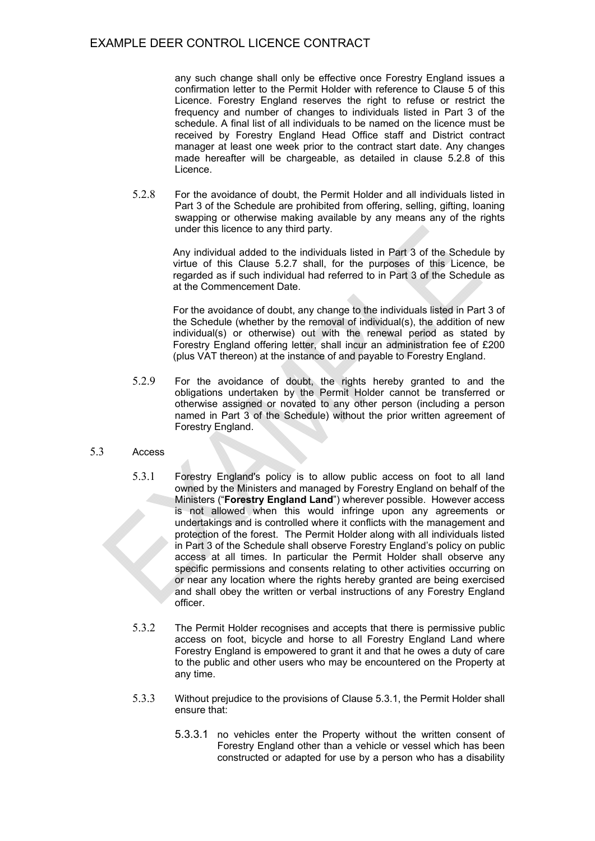any such change shall only be effective once Forestry England issues a confirmation letter to the Permit Holder with reference to Clause 5 of this Licence. Forestry England reserves the right to refuse or restrict the frequency and number of changes to individuals listed in Part 3 of the schedule. A final list of all individuals to be named on the licence must be received by Forestry England Head Office staff and District contract manager at least one week prior to the contract start date. Any changes made hereafter will be chargeable, as detailed in clause 5.2.8 of this Licence.

5.2.8 For the avoidance of doubt, the Permit Holder and all individuals listed in Part 3 of the Schedule are prohibited from offering, selling, gifting, loaning swapping or otherwise making available by any means any of the rights under this licence to any third party.

> Any individual added to the individuals listed in Part 3 of the Schedule by virtue of this Clause 5.2.7 shall, for the purposes of this Licence, be regarded as if such individual had referred to in Part 3 of the Schedule as at the Commencement Date.

> For the avoidance of doubt, any change to the individuals listed in Part 3 of the Schedule (whether by the removal of individual(s), the addition of new individual(s) or otherwise) out with the renewal period as stated by Forestry England offering letter, shall incur an administration fee of £200 (plus VAT thereon) at the instance of and payable to Forestry England.

5.2.9 For the avoidance of doubt, the rights hereby granted to and the obligations undertaken by the Permit Holder cannot be transferred or otherwise assigned or novated to any other person (including a person named in Part 3 of the Schedule) without the prior written agreement of Forestry England.

#### 5.3 Access

- 5.3.1 Forestry England's policy is to allow public access on foot to all land owned by the Ministers and managed by Forestry England on behalf of the Ministers ("**Forestry England Land**") wherever possible. However access is not allowed when this would infringe upon any agreements or undertakings and is controlled where it conflicts with the management and protection of the forest. The Permit Holder along with all individuals listed in Part 3 of the Schedule shall observe Forestry England's policy on public access at all times. In particular the Permit Holder shall observe any specific permissions and consents relating to other activities occurring on or near any location where the rights hereby granted are being exercised and shall obey the written or verbal instructions of any Forestry England officer.
- 5.3.2 The Permit Holder recognises and accepts that there is permissive public access on foot, bicycle and horse to all Forestry England Land where Forestry England is empowered to grant it and that he owes a duty of care to the public and other users who may be encountered on the Property at any time.
- 5.3.3 Without prejudice to the provisions of Clause 5.3.1, the Permit Holder shall ensure that:
	- 5.3.3.1 no vehicles enter the Property without the written consent of Forestry England other than a vehicle or vessel which has been constructed or adapted for use by a person who has a disability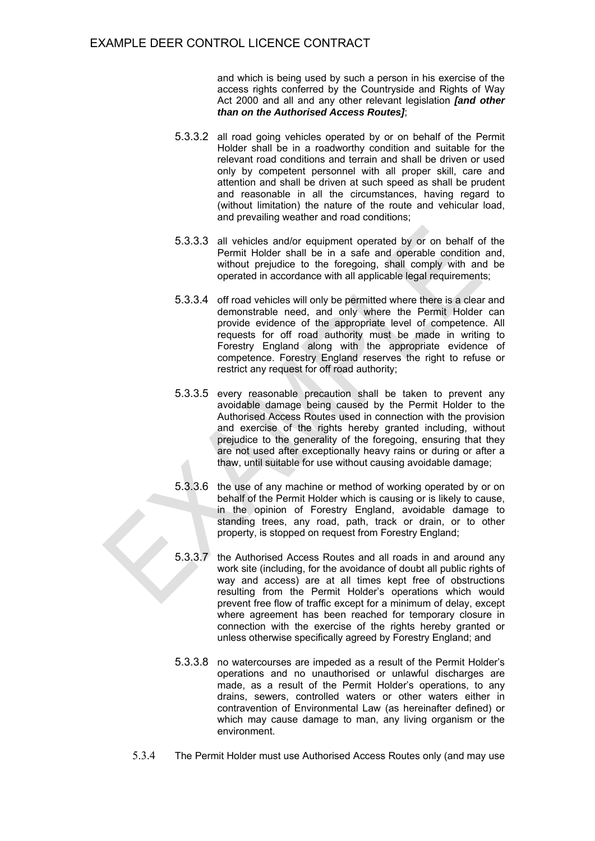and which is being used by such a person in his exercise of the access rights conferred by the Countryside and Rights of Way Act 2000 and all and any other relevant legislation *[and other than on the Authorised Access Routes]*;

- 5.3.3.2 all road going vehicles operated by or on behalf of the Permit Holder shall be in a roadworthy condition and suitable for the relevant road conditions and terrain and shall be driven or used only by competent personnel with all proper skill, care and attention and shall be driven at such speed as shall be prudent and reasonable in all the circumstances, having regard to (without limitation) the nature of the route and vehicular load, and prevailing weather and road conditions;
- 5.3.3.3 all vehicles and/or equipment operated by or on behalf of the Permit Holder shall be in a safe and operable condition and, without prejudice to the foregoing, shall comply with and be operated in accordance with all applicable legal requirements;
- 5.3.3.4 off road vehicles will only be permitted where there is a clear and demonstrable need, and only where the Permit Holder can provide evidence of the appropriate level of competence. All requests for off road authority must be made in writing to Forestry England along with the appropriate evidence of competence. Forestry England reserves the right to refuse or restrict any request for off road authority;
- 5.3.3.5 every reasonable precaution shall be taken to prevent any avoidable damage being caused by the Permit Holder to the Authorised Access Routes used in connection with the provision and exercise of the rights hereby granted including, without prejudice to the generality of the foregoing, ensuring that they are not used after exceptionally heavy rains or during or after a thaw, until suitable for use without causing avoidable damage;
- 5.3.3.6 the use of any machine or method of working operated by or on behalf of the Permit Holder which is causing or is likely to cause, in the opinion of Forestry England, avoidable damage to standing trees, any road, path, track or drain, or to other property, is stopped on request from Forestry England;
- 5.3.3.7 the Authorised Access Routes and all roads in and around any work site (including, for the avoidance of doubt all public rights of way and access) are at all times kept free of obstructions resulting from the Permit Holder's operations which would prevent free flow of traffic except for a minimum of delay, except where agreement has been reached for temporary closure in connection with the exercise of the rights hereby granted or unless otherwise specifically agreed by Forestry England; and
- 5.3.3.8 no watercourses are impeded as a result of the Permit Holder's operations and no unauthorised or unlawful discharges are made, as a result of the Permit Holder's operations, to any drains, sewers, controlled waters or other waters either in contravention of Environmental Law (as hereinafter defined) or which may cause damage to man, any living organism or the environment.
- 5.3.4 The Permit Holder must use Authorised Access Routes only (and may use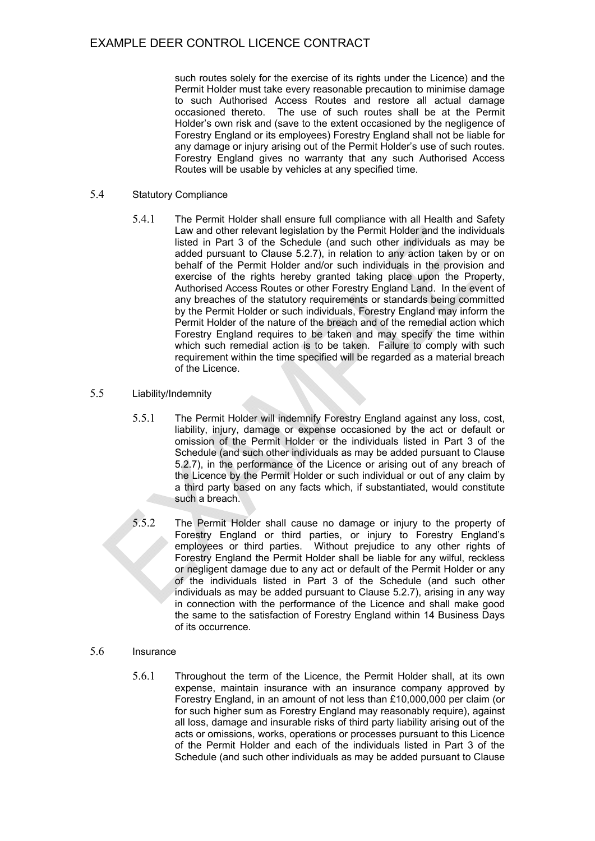such routes solely for the exercise of its rights under the Licence) and the Permit Holder must take every reasonable precaution to minimise damage to such Authorised Access Routes and restore all actual damage occasioned thereto. The use of such routes shall be at the Permit Holder's own risk and (save to the extent occasioned by the negligence of Forestry England or its employees) Forestry England shall not be liable for any damage or injury arising out of the Permit Holder's use of such routes. Forestry England gives no warranty that any such Authorised Access Routes will be usable by vehicles at any specified time.

#### 5.4 Statutory Compliance

5.4.1 The Permit Holder shall ensure full compliance with all Health and Safety Law and other relevant legislation by the Permit Holder and the individuals listed in Part 3 of the Schedule (and such other individuals as may be added pursuant to Clause 5.2.7), in relation to any action taken by or on behalf of the Permit Holder and/or such individuals in the provision and exercise of the rights hereby granted taking place upon the Property, Authorised Access Routes or other Forestry England Land. In the event of any breaches of the statutory requirements or standards being committed by the Permit Holder or such individuals, Forestry England may inform the Permit Holder of the nature of the breach and of the remedial action which Forestry England requires to be taken and may specify the time within which such remedial action is to be taken. Failure to comply with such requirement within the time specified will be regarded as a material breach of the Licence.

## 5.5 Liability/Indemnity

- 5.5.1 The Permit Holder will indemnify Forestry England against any loss, cost, liability, injury, damage or expense occasioned by the act or default or omission of the Permit Holder or the individuals listed in Part 3 of the Schedule (and such other individuals as may be added pursuant to Clause 5.2.7), in the performance of the Licence or arising out of any breach of the Licence by the Permit Holder or such individual or out of any claim by a third party based on any facts which, if substantiated, would constitute such a breach.
- 5.5.2 The Permit Holder shall cause no damage or injury to the property of Forestry England or third parties, or injury to Forestry England's employees or third parties. Without prejudice to any other rights of Forestry England the Permit Holder shall be liable for any wilful, reckless or negligent damage due to any act or default of the Permit Holder or any of the individuals listed in Part 3 of the Schedule (and such other individuals as may be added pursuant to Clause 5.2.7), arising in any way in connection with the performance of the Licence and shall make good the same to the satisfaction of Forestry England within 14 Business Days of its occurrence.

## 5.6 Insurance

5.6.1 Throughout the term of the Licence, the Permit Holder shall, at its own expense, maintain insurance with an insurance company approved by Forestry England, in an amount of not less than £10,000,000 per claim (or for such higher sum as Forestry England may reasonably require), against all loss, damage and insurable risks of third party liability arising out of the acts or omissions, works, operations or processes pursuant to this Licence of the Permit Holder and each of the individuals listed in Part 3 of the Schedule (and such other individuals as may be added pursuant to Clause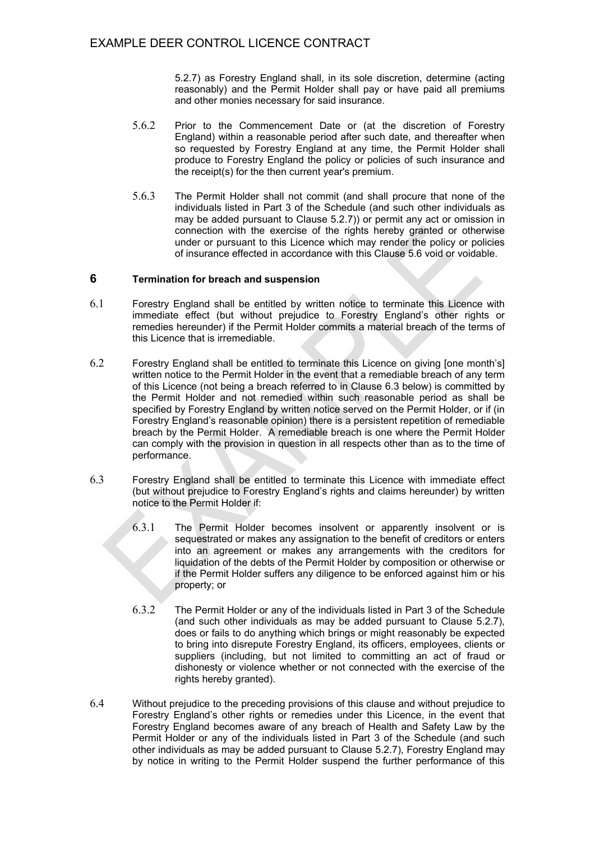5.2.7) as Forestry England shall, in its sole discretion, determine (acting reasonably) and the Permit Holder shall pay or have paid all premiums and other monies necessary for said insurance.

- 5.6.2 Prior to the Commencement Date or (at the discretion of Forestry England) within a reasonable period after such date, and thereafter when so requested by Forestry England at any time, the Permit Holder shall produce to Forestry England the policy or policies of such insurance and the receipt(s) for the then current year's premium.
- 5.6.3 The Permit Holder shall not commit (and shall procure that none of the individuals listed in Part 3 of the Schedule (and such other individuals as may be added pursuant to Clause 5.2.7)) or permit any act or omission in connection with the exercise of the rights hereby granted or otherwise under or pursuant to this Licence which may render the policy or policies of insurance effected in accordance with this Clause 5.6 void or voidable.

#### **6 Termination for breach and suspension**

- 6.1 Forestry England shall be entitled by written notice to terminate this Licence with immediate effect (but without prejudice to Forestry England's other rights or remedies hereunder) if the Permit Holder commits a material breach of the terms of this Licence that is irremediable.
- 6.2 Forestry England shall be entitled to terminate this Licence on giving [one month's] written notice to the Permit Holder in the event that a remediable breach of any term of this Licence (not being a breach referred to in Clause 6.3 below) is committed by the Permit Holder and not remedied within such reasonable period as shall be specified by Forestry England by written notice served on the Permit Holder, or if (in Forestry England's reasonable opinion) there is a persistent repetition of remediable breach by the Permit Holder. A remediable breach is one where the Permit Holder can comply with the provision in question in all respects other than as to the time of performance.
- 6.3 Forestry England shall be entitled to terminate this Licence with immediate effect (but without prejudice to Forestry England's rights and claims hereunder) by written notice to the Permit Holder if:
	- 6.3.1 The Permit Holder becomes insolvent or apparently insolvent or is sequestrated or makes any assignation to the benefit of creditors or enters into an agreement or makes any arrangements with the creditors for liquidation of the debts of the Permit Holder by composition or otherwise or if the Permit Holder suffers any diligence to be enforced against him or his property; or
	- 6.3.2 The Permit Holder or any of the individuals listed in Part 3 of the Schedule (and such other individuals as may be added pursuant to Clause 5.2.7), does or fails to do anything which brings or might reasonably be expected to bring into disrepute Forestry England, its officers, employees, clients or suppliers (including, but not limited to committing an act of fraud or dishonesty or violence whether or not connected with the exercise of the rights hereby granted).
- 6.4 Without prejudice to the preceding provisions of this clause and without prejudice to Forestry England's other rights or remedies under this Licence, in the event that Forestry England becomes aware of any breach of Health and Safety Law by the Permit Holder or any of the individuals listed in Part 3 of the Schedule (and such other individuals as may be added pursuant to Clause 5.2.7), Forestry England may by notice in writing to the Permit Holder suspend the further performance of this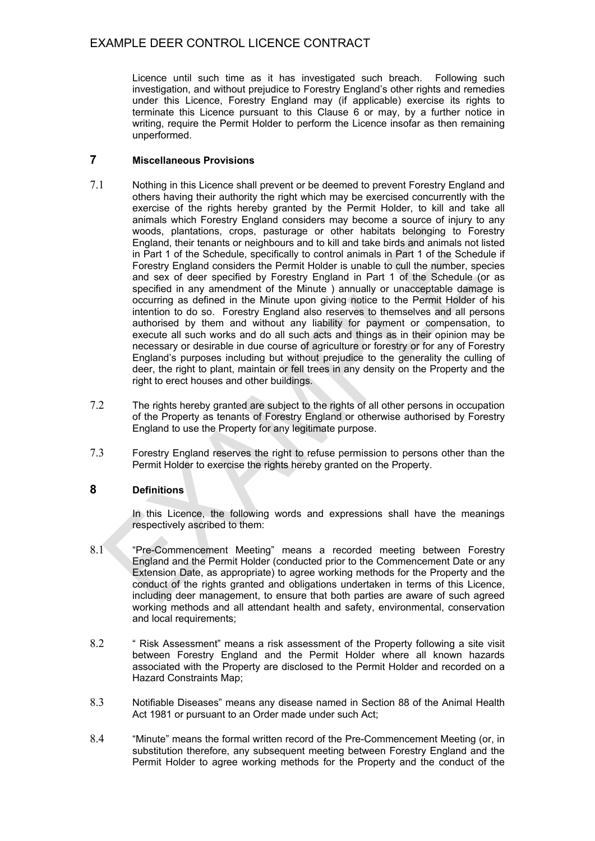Licence until such time as it has investigated such breach. Following such investigation, and without prejudice to Forestry England's other rights and remedies under this Licence, Forestry England may (if applicable) exercise its rights to terminate this Licence pursuant to this Clause 6 or may, by a further notice in writing, require the Permit Holder to perform the Licence insofar as then remaining unperformed.

## **7 Miscellaneous Provisions**

- 7.1 Nothing in this Licence shall prevent or be deemed to prevent Forestry England and others having their authority the right which may be exercised concurrently with the exercise of the rights hereby granted by the Permit Holder, to kill and take all animals which Forestry England considers may become a source of injury to any woods, plantations, crops, pasturage or other habitats belonging to Forestry England, their tenants or neighbours and to kill and take birds and animals not listed in Part 1 of the Schedule, specifically to control animals in Part 1 of the Schedule if Forestry England considers the Permit Holder is unable to cull the number, species and sex of deer specified by Forestry England in Part 1 of the Schedule (or as specified in any amendment of the Minute ) annually or unacceptable damage is occurring as defined in the Minute upon giving notice to the Permit Holder of his intention to do so. Forestry England also reserves to themselves and all persons authorised by them and without any liability for payment or compensation, to execute all such works and do all such acts and things as in their opinion may be necessary or desirable in due course of agriculture or forestry or for any of Forestry England's purposes including but without prejudice to the generality the culling of deer, the right to plant, maintain or fell trees in any density on the Property and the right to erect houses and other buildings.
- 7.2 The rights hereby granted are subject to the rights of all other persons in occupation of the Property as tenants of Forestry England or otherwise authorised by Forestry England to use the Property for any legitimate purpose.
- 7.3 Forestry England reserves the right to refuse permission to persons other than the Permit Holder to exercise the rights hereby granted on the Property.

## **8 Definitions**

In this Licence, the following words and expressions shall have the meanings respectively ascribed to them:

- 8.1 "Pre-Commencement Meeting" means a recorded meeting between Forestry England and the Permit Holder (conducted prior to the Commencement Date or any Extension Date, as appropriate) to agree working methods for the Property and the conduct of the rights granted and obligations undertaken in terms of this Licence, including deer management, to ensure that both parties are aware of such agreed working methods and all attendant health and safety, environmental, conservation and local requirements:
- 8.2 " Risk Assessment" means a risk assessment of the Property following a site visit between Forestry England and the Permit Holder where all known hazards associated with the Property are disclosed to the Permit Holder and recorded on a Hazard Constraints Map;
- 8.3 Notifiable Diseases" means any disease named in Section 88 of the Animal Health Act 1981 or pursuant to an Order made under such Act;
- 8.4 "Minute" means the formal written record of the Pre-Commencement Meeting (or, in substitution therefore, any subsequent meeting between Forestry England and the Permit Holder to agree working methods for the Property and the conduct of the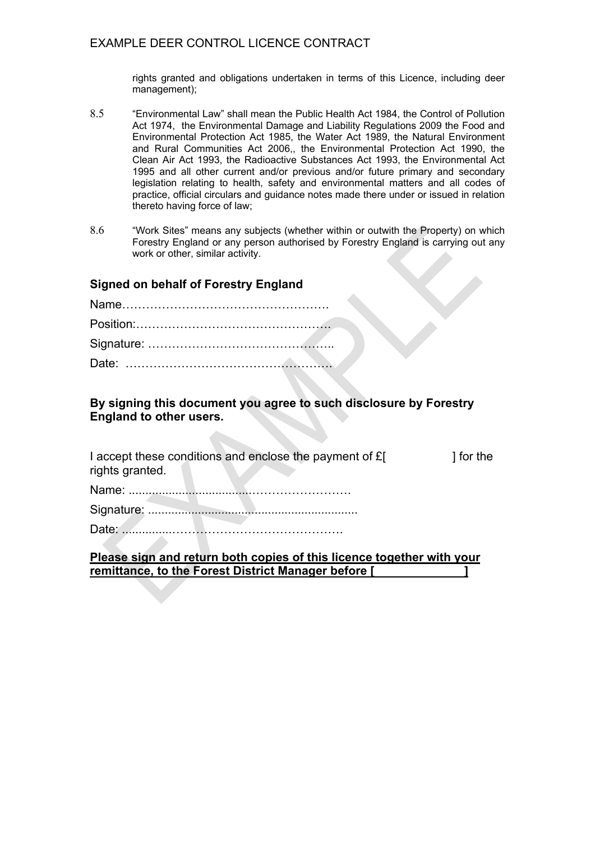rights granted and obligations undertaken in terms of this Licence, including deer management);

- 8.5 "Environmental Law" shall mean the Public Health Act 1984, the Control of Pollution Act 1974, the Environmental Damage and Liability Regulations 2009 the Food and Environmental Protection Act 1985, the Water Act 1989, the Natural Environment and Rural Communities Act 2006,, the Environmental Protection Act 1990, the Clean Air Act 1993, the Radioactive Substances Act 1993, the Environmental Act 1995 and all other current and/or previous and/or future primary and secondary legislation relating to health, safety and environmental matters and all codes of practice, official circulars and guidance notes made there under or issued in relation thereto having force of law;
- 8.6 "Work Sites" means any subjects (whether within or outwith the Property) on which Forestry England or any person authorised by Forestry England is carrying out any work or other, similar activity.

# **Signed on behalf of Forestry England**

## **By signing this document you agree to such disclosure by Forestry England to other users.**

|                 | I accept these conditions and enclose the payment of £[ | 1 for the |
|-----------------|---------------------------------------------------------|-----------|
| rights granted. |                                                         |           |

Name: .....................................…………………….

## **Please sign and return both copies of this licence together with your remittance, to the Forest District Manager before [ ]**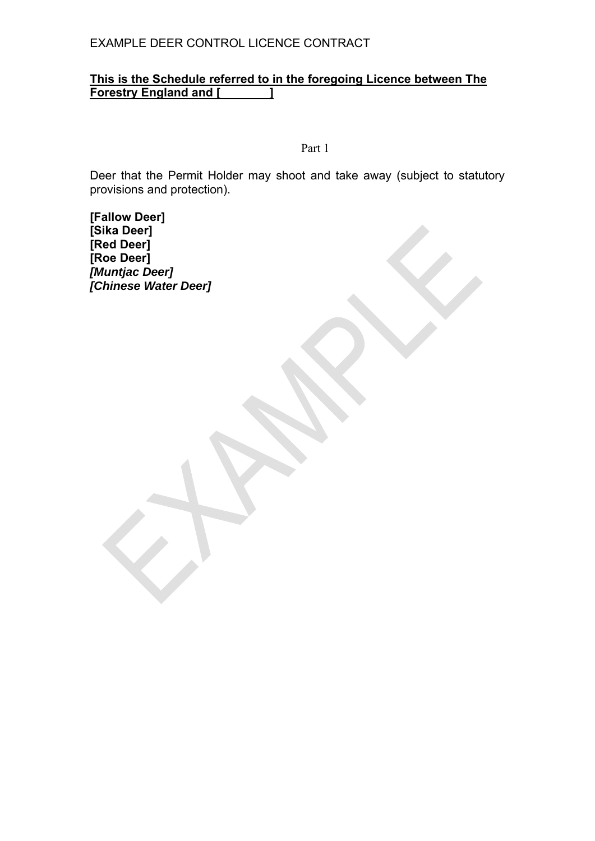# **This is the Schedule referred to in the foregoing Licence between The Forestry England and [ ]**

Part 1

Deer that the Permit Holder may shoot and take away (subject to statutory provisions and protection).

**[Fallow Deer] [Sika Deer] [Red Deer] [Roe Deer]**  *[Muntjac Deer] [Chinese Water Deer]*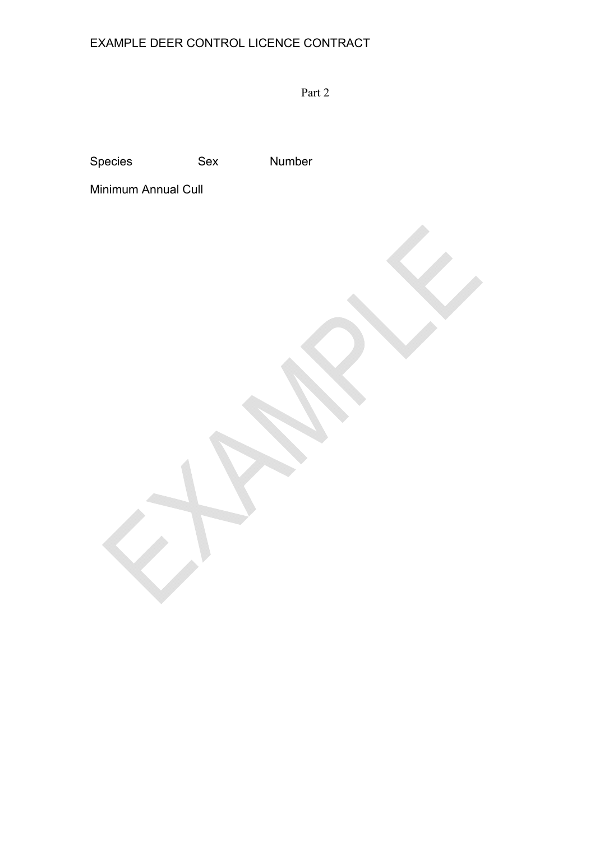Part 2

Species Sex Number

Minimum Annual Cull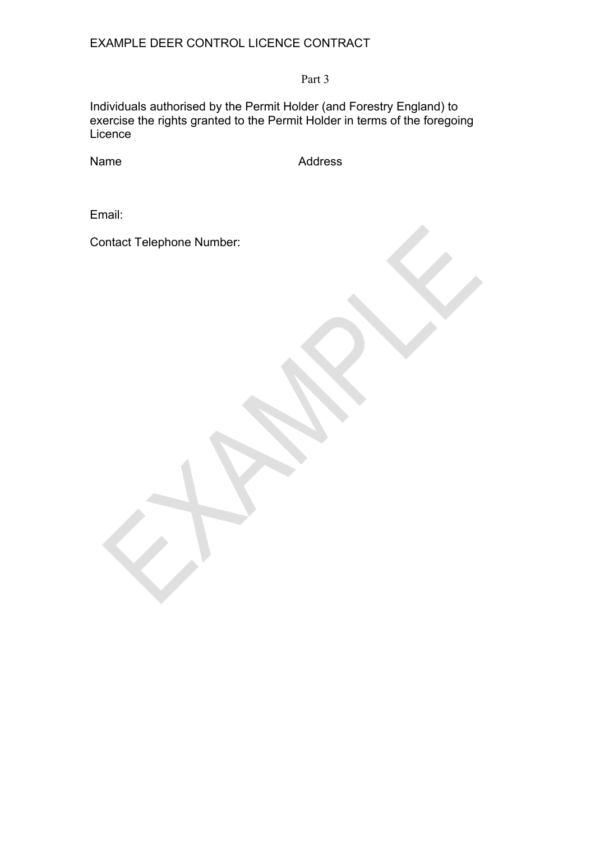Part 3

Individuals authorised by the Permit Holder (and Forestry England) to exercise the rights granted to the Permit Holder in terms of the foregoing Licence

Name Address

Email:

Contact Telephone Number: